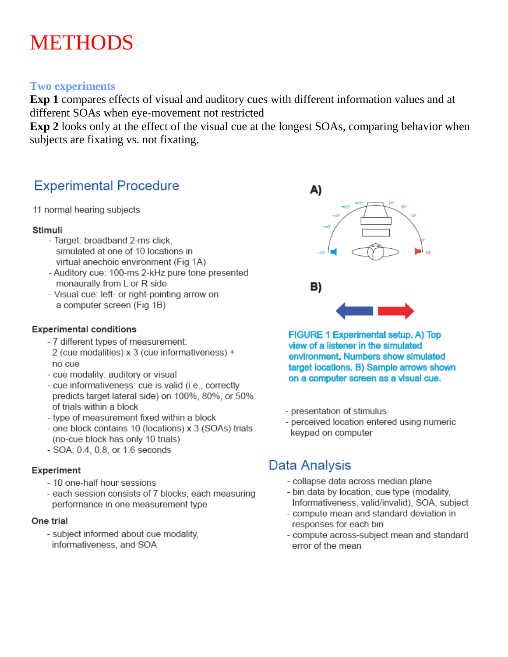## **METHODS**

#### **Two experiments**

Exp 1 compares effects of visual and auditory cues with different information values and at different SOAs when eye-movement not restricted

**Exp 2** looks only at the effect of the visual cue at the longest SOAs, comparing behavior when subjects are fixating vs. not fixating.

## **Experimental Procedure**

11 normal hearing subjects

#### Stimuli

- Target: broadband 2-ms click. simulated at one of 10 locations in virtual anechoic environment (Fig 1A)
- Auditory cue: 100-ms 2-kHz pure tone presented monaurally from L or R side
- Visual cue: left- or right-pointing arrow on a computer screen (Fig 1B)

#### **Experimental conditions**

- 7 different types of measurement: 2 (cue modalities) x 3 (cue informativeness) + no cue
- cue modality: auditory or visual
- cue informativeness: cue is valid (i.e., correctly predicts target lateral side) on 100%, 80%, or 50% of trials within a block
- type of measurement fixed within a block
- one block contains 10 (locations) x 3 (SOAs) trials (no-cue block has only 10 trials)
- SOA: 0.4, 0.8, or 1.6 seconds

#### Experiment

- 10 one-half hour sessions
- each session consists of 7 blocks, each measuring performance in one measurement type

#### One trial

- subject informed about cue modality, informativeness, and SOA



FIGURE 1 Experimental setup. A) Top view of a listener in the simulated environment. Numbers show simulated target locations. B) Sample arrows shown on a computer screen as a visual cue.

- presentation of stimulus
- perceived location entered using numeric keypad on computer

## Data Analysis

- collapse data across median plane
- bin data by location, cue type (modality, Informativeness, valid/invalid), SOA, subject
- compute mean and standard deviation in responses for each bin
- compute across-subject mean and standard error of the mean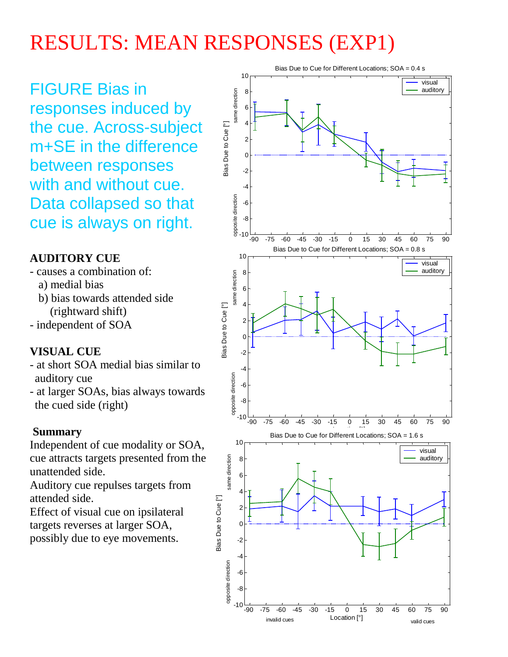## RESULTS: MEAN RESPONSES (EXP1)

FIGURE Bias in responses induced by the cue. Across-subject m+SE in the difference between responses with and without cue. Data collapsed so that cue is always on right.

## **AUDITORY CUE**

- causes a combination of:
	- a) medial bias
	- b) bias towards attended side (rightward shift)
- independent of SOA

## **VISUAL CUE**

- at short SOA medial bias similar to auditory cue
- at larger SOAs, bias always towards the cued side (right)

## **Summary**

Independent of cue modality or SOA, cue attracts targets presented from the unattended side.

Auditory cue repulses targets from attended side.

Effect of visual cue on ipsilateral targets reverses at larger SOA, possibly due to eye movements.

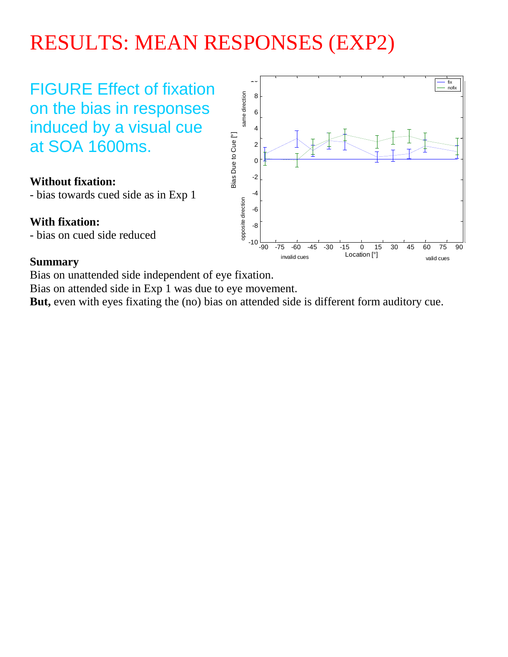## RESULTS: MEAN RESPONSES (EXP2)

FIGURE Effect of fixation on the bias in responses induced by a visual cue at SOA 1600ms.

#### **Without fixation:**

- bias towards cued side as in Exp 1

#### **With fixation:**

- bias on cued side reduced

#### **Summary**

Bias on unattended side independent of eye fixation.

Bias on attended side in Exp 1 was due to eye movement.

**But,** even with eyes fixating the (no) bias on attended side is different form auditory cue.

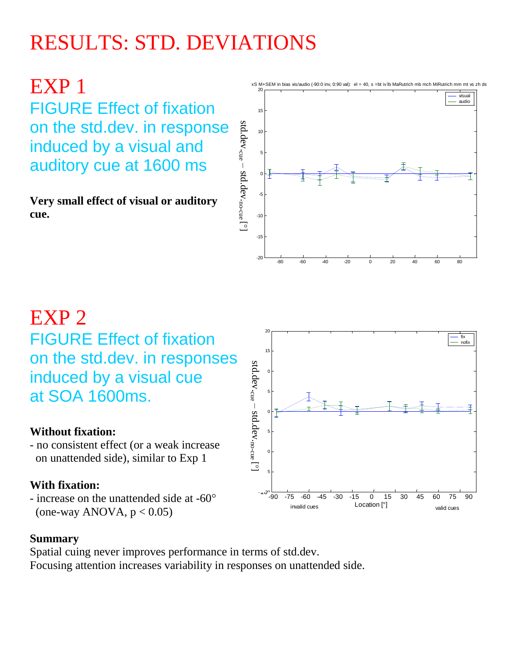# RESULTS: STD. DEVIATIONS

EXP 1 FIGURE Effect of fixation on the std.dev. in response induced by a visual and auditory cue at 1600 ms

**Very small effect of visual or auditory cue.**



## EXP 2 FIGURE Effect of fixation on the std.dev. in responses induced by a visual cue at SOA 1600ms.

### **Without fixation:**

- no consistent effect (or a weak increase on unattended side), similar to Exp 1

### **With fixation:**

- increase on the unattended side at -60° (one-way ANOVA,  $p < 0.05$ )



#### **Summary**

Spatial cuing never improves performance in terms of std.dev. Focusing attention increases variability in responses on unattended side.